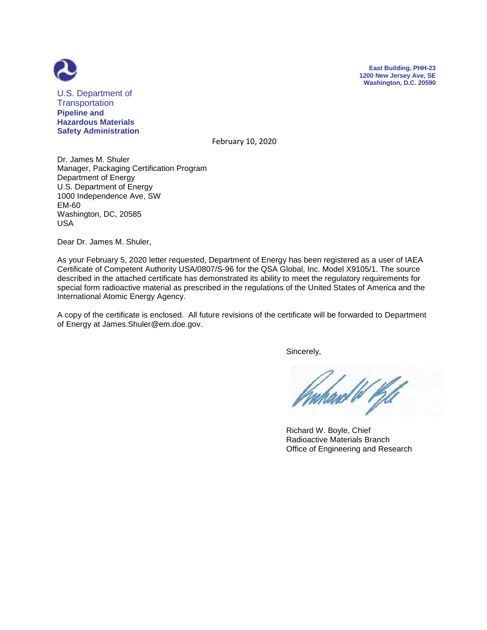



U.S. Department of **Transportation Pipeline and Hazardous Materials Safety Administration**

February 10, 2020

Dr. James M. Shuler Manager, Packaging Certification Program Department of Energy U.S. Department of Energy 1000 Independence Ave, SW EM-60 Washington, DC, 20585 USA

Dear Dr. James M. Shuler,

As your February 5, 2020 letter requested, Department of Energy has been registered as a user of IAEA Certificate of Competent Authority USA/0807/S-96 for the QSA Global, Inc. Model X9105/1. The source described in the attached certificate has demonstrated its ability to meet the regulatory requirements for special form radioactive material as prescribed in the regulations of the United States of America and the International Atomic Energy Agency.

A copy of the certificate is enclosed. All future revisions of the certificate will be forwarded to Department of Energy at James.Shuler@em.doe.gov.

Sincerely,

ard W Kil

 Richard W. Boyle, Chief Radioactive Materials Branch Office of Engineering and Research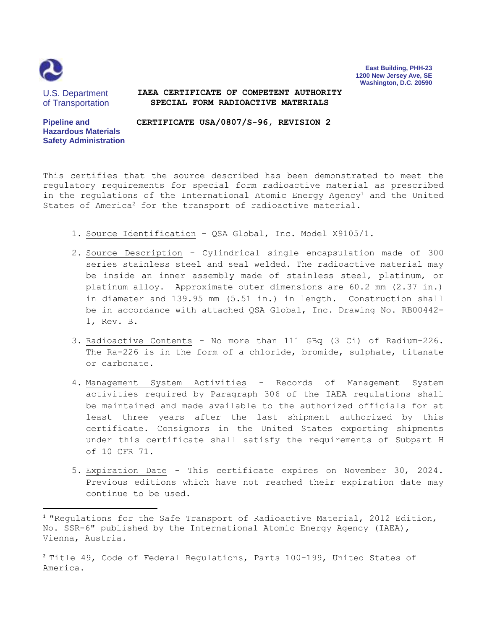

 $\overline{\phantom{a}}$ 

**East Building, PHH-23 1200 New Jersey Ave, SE Washington, D.C. 20590**

U.S. Department of Transportation

**Safety Administration**

**Pipeline and** 

#### **IAEA CERTIFICATE OF COMPETENT AUTHORITY SPECIAL FORM RADIOACTIVE MATERIALS**

**Hazardous Materials CERTIFICATE USA/0807/S-96, REVISION 2**

This certifies that the source described has been demonstrated to meet the regulatory requirements for special form radioactive material as prescribed in the regulations of the International Atomic Energy Agency<sup>1</sup> and the United States of America<sup>2</sup> for the transport of radioactive material.

- 1. Source Identification QSA Global, Inc. Model X9105/1.
- 2. Source Description Cylindrical single encapsulation made of 300 series stainless steel and seal welded. The radioactive material may be inside an inner assembly made of stainless steel, platinum, or platinum alloy. Approximate outer dimensions are 60.2 mm (2.37 in.) in diameter and 139.95 mm (5.51 in.) in length. Construction shall be in accordance with attached QSA Global, Inc. Drawing No. RB00442- 1, Rev. B.
- 3. Radioactive Contents No more than 111 GBq (3 Ci) of Radium-226. The Ra-226 is in the form of a chloride, bromide, sulphate, titanate or carbonate.
- 4. Management System Activities Records of Management System activities required by Paragraph 306 of the IAEA regulations shall be maintained and made available to the authorized officials for at least three years after the last shipment authorized by this certificate. Consignors in the United States exporting shipments under this certificate shall satisfy the requirements of Subpart H of 10 CFR 71.
- 5. Expiration Date This certificate expires on November 30, 2024. Previous editions which have not reached their expiration date may continue to be used.

<sup>2</sup> Title 49, Code of Federal Regulations, Parts 100-199, United States of America.

<sup>1</sup> "Regulations for the Safe Transport of Radioactive Material, 2012 Edition, No. SSR-6" published by the International Atomic Energy Agency (IAEA), Vienna, Austria.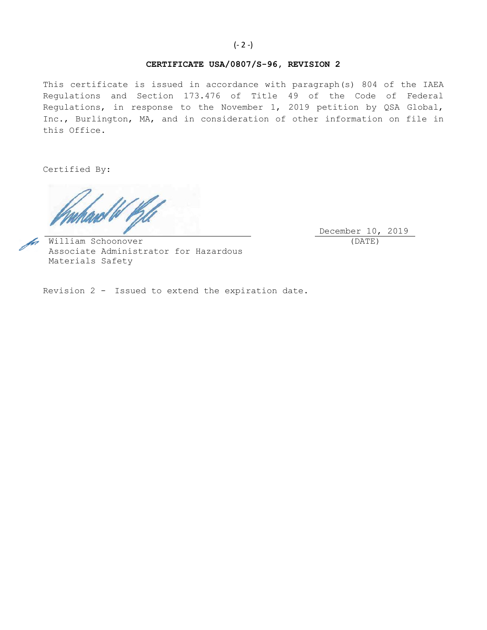# **CERTIFICATE USA/0807/S-96, REVISION 2**

This certificate is issued in accordance with paragraph(s) 804 of the IAEA Regulations and Section 173.476 of Title 49 of the Code of Federal Regulations, in response to the November 1, 2019 petition by QSA Global, Inc., Burlington, MA, and in consideration of other information on file in this Office.

Certified By:

December 10, 2019 (DATE)

William Schoonover Associate Administrator for Hazardous Materials Safety

Revision 2 - Issued to extend the expiration date.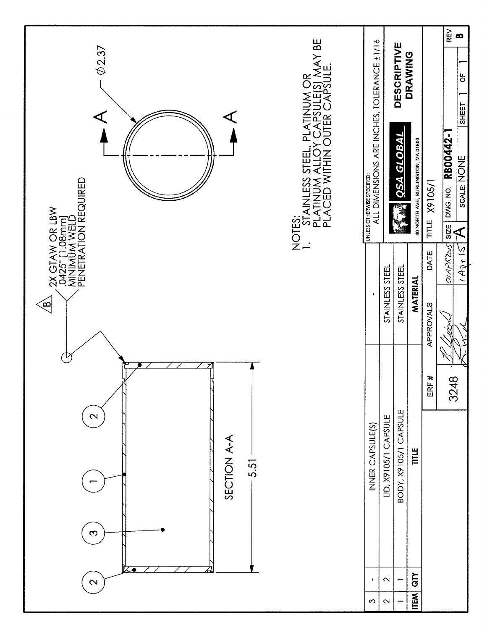